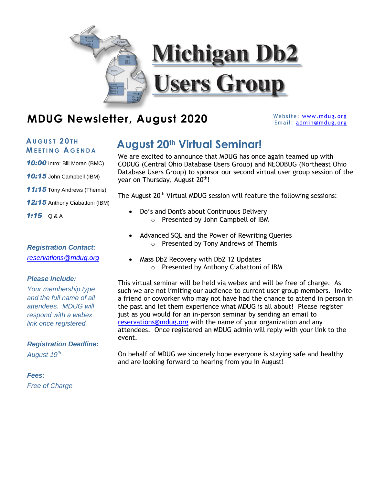

## **MDUG Newsletter, August 2020** Website: WWW.mdug.org

Email: [admin@mdug.org](mailto:admin@mdug.org)

# **M E E T I N G A G E N D A**

*10:00* Intro: Bill Moran (BMC)

*10:15* John Campbell (IBM)

*11:15* Tony Andrews (Themis)

*12:15* Anthony Ciabattoni (IBM)

*1:15* Q & A

### *Registration Contact: [reservations@mdug.org](mailto:reservations@mdug.org)*

### *Please Include:*

*Your membership type and the full name of all attendees. MDUG will respond with a webex link once registered.* 

### *Registration Deadline:*

*August 19th*

*Fees: Free of Charge*

## $A$ <sup>UGUST</sup> 20<sup>TH</sup> **AUGUST 20<sup>th</sup> Virtual Seminar!**

We are excited to announce that MDUG has once again teamed up with CODUG (Central Ohio Database Users Group) and NEODBUG (Northeast Ohio Database Users Group) to sponsor our second virtual user group session of the year on Thursday, August 20<sup>th</sup>!

The August 20<sup>th</sup> Virtual MDUG session will feature the following sessions:

- Do's and Dont's about Continuous Delivery o Presented by John Campbell of IBM
- Advanced SQL and the Power of Rewriting Queries o Presented by Tony Andrews of Themis
- Mass Db2 Recovery with Db2 12 Updates o Presented by Anthony Ciabattoni of IBM

This virtual seminar will be held via webex and will be free of charge. As such we are not limiting our audience to current user group members. Invite a friend or coworker who may not have had the chance to attend in person in the past and let them experience what MDUG is all about! Please register just as you would for an in-person seminar by sending an email to [reservations@mdug.org](mailto:reservations@mdug.org) with the name of your organization and any attendees. Once registered an MDUG admin will reply with your link to the event.

On behalf of MDUG we sincerely hope everyone is staying safe and healthy and are looking forward to hearing from you in August!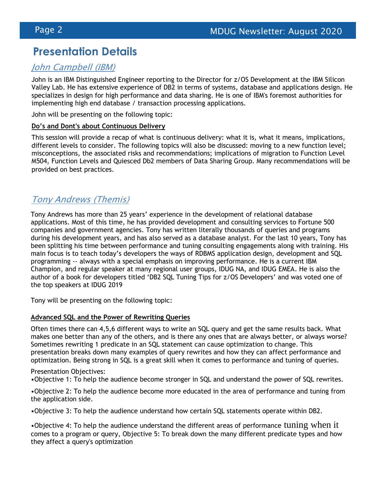## **Presentation Details**

### John Campbell (IBM)

John is an IBM Distinguished Engineer reporting to the Director for z/OS Development at the IBM Silicon Valley Lab. He has extensive experience of DB2 in terms of systems, database and applications design. He specializes in design for high performance and data sharing. He is one of IBM's foremost authorities for implementing high end database / transaction processing applications.

John will be presenting on the following topic:

### **Do's and Dont's about Continuous Delivery**

This session will provide a recap of what is continuous delivery: what it is, what it means, implications, different levels to consider. The following topics will also be discussed: moving to a new function level; misconceptions, the associated risks and recommendations; implications of migration to Function Level M504, Function Levels and Quiesced Db2 members of Data Sharing Group. Many recommendations will be provided on best practices.

### Tony Andrews (Themis)

Tony Andrews has more than 25 years' experience in the development of relational database applications. Most of this time, he has provided development and consulting services to Fortune 500 companies and government agencies. Tony has written literally thousands of queries and programs during his development years, and has also served as a database analyst. For the last 10 years, Tony has been splitting his time between performance and tuning consulting engagements along with training. His main focus is to teach today's developers the ways of RDBMS application design, development and SQL programming -- always with a special emphasis on improving performance. He is a current IBM Champion, and regular speaker at many regional user groups, IDUG NA, and IDUG EMEA. He is also the author of a book for developers titled 'DB2 SQL Tuning Tips for z/OS Developers' and was voted one of the top speakers at IDUG 2019

Tony will be presenting on the following topic:

### **Advanced SQL and the Power of Rewriting Queries**

Often times there can 4,5,6 different ways to write an SQL query and get the same results back. What makes one better than any of the others, and is there any ones that are always better, or always worse? Sometimes rewriting 1 predicate in an SQL statement can cause optimization to change. This presentation breaks down many examples of query rewrites and how they can affect performance and optimization. Being strong in SQL is a great skill when it comes to performance and tuning of queries.

Presentation Objectives:

•Objective 1: To help the audience become stronger in SQL and understand the power of SQL rewrites.

•Objective 2: To help the audience become more educated in the area of performance and tuning from the application side.

•Objective 3: To help the audience understand how certain SQL statements operate within DB2.

•Objective 4: To help the audience understand the different areas of performance tuning when it comes to a program or query, Objective 5: To break down the many different predicate types and how they affect a query's optimization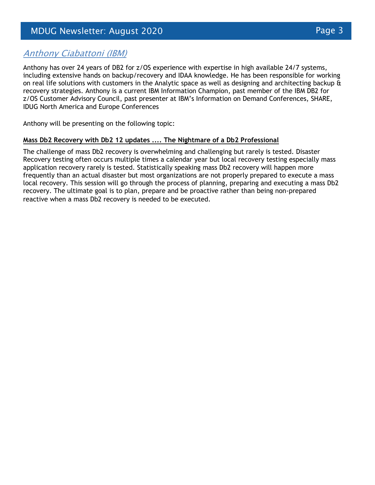### Anthony Ciabattoni (IBM)

Anthony has over 24 years of DB2 for z/OS experience with expertise in high available 24/7 systems, including extensive hands on backup/recovery and IDAA knowledge. He has been responsible for working on real life solutions with customers in the Analytic space as well as designing and architecting backup  $\hat{\mathbf{a}}$ recovery strategies. Anthony is a current IBM Information Champion, past member of the IBM DB2 for z/OS Customer Advisory Council, past presenter at IBM's Information on Demand Conferences, SHARE, IDUG North America and Europe Conferences

Anthony will be presenting on the following topic:

### **Mass Db2 Recovery with Db2 12 updates .... The Nightmare of a Db2 Professional**

The challenge of mass Db2 recovery is overwhelming and challenging but rarely is tested. Disaster Recovery testing often occurs multiple times a calendar year but local recovery testing especially mass application recovery rarely is tested. Statistically speaking mass Db2 recovery will happen more frequently than an actual disaster but most organizations are not properly prepared to execute a mass local recovery. This session will go through the process of planning, preparing and executing a mass Db2 recovery. The ultimate goal is to plan, prepare and be proactive rather than being non-prepared reactive when a mass Db2 recovery is needed to be executed.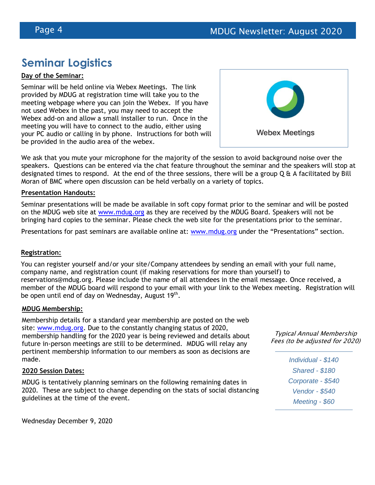## **Seminar Logistics**

### **Day of the Seminar:**

Seminar will be held online via Webex Meetings. The link provided by MDUG at registration time will take you to the meeting webpage where you can join the Webex. If you have not used Webex in the past, you may need to accept the Webex add-on and allow a small installer to run. Once in the meeting you will have to connect to the audio, either using your PC audio or calling in by phone. Instructions for both will be provided in the audio area of the webex.



We ask that you mute your microphone for the majority of the session to avoid background noise over the speakers. Questions can be entered via the chat feature throughout the seminar and the speakers will stop at designated times to respond. At the end of the three sessions, there will be a group  $Q \hat{a}$  A facilitated by Bill Moran of BMC where open discussion can be held verbally on a variety of topics.

#### **Presentation Handouts:**

Seminar presentations will be made be available in soft copy format prior to the seminar and will be posted on the MDUG web site at [www.mdug.org](http://www.mdug.org/) as they are received by the MDUG Board. Speakers will not be bringing hard copies to the seminar. Please check the web site for the presentations prior to the seminar.

Presentations for past seminars are available online at: [www.mdug.org](http://www.mdug.org/) under the "Presentations" section.

### **Registration:**

You can register yourself and/or your site/Company attendees by sending an email with your full name, company name, and registration count (if making reservations for more than yourself) to reservations@mdug.org. Please include the name of all attendees in the email message. Once received, a member of the MDUG board will respond to your email with your link to the Webex meeting. Registration will be open until end of day on Wednesday, August 19<sup>th</sup>.

#### **MDUG Membership:**

Membership details for a standard year membership are posted on the web site: [www.mdug.org.](http://www.mdug.org/) Due to the constantly changing status of 2020, membership handling for the 2020 year is being reviewed and details about future in-person meetings are still to be determined. MDUG will relay any pertinent membership information to our members as soon as decisions are made.

#### **2020 Session Dates:**

MDUG is tentatively planning seminars on the following remaining dates in 2020. These are subject to change depending on the stats of social distancing guidelines at the time of the event.

Typical Annual Membership Fees (to be adjusted for 2020)

> *Individual - \$140 Shared - \$180 Corporate - \$540 Vendor - \$540 Meeting - \$60*

Wednesday December 9, 2020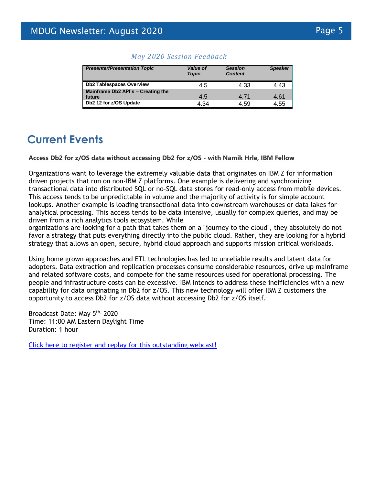| <b>Presenter/Presentation Topic</b>          | Value of<br><b>Topic</b> | <b>Session</b><br><b>Content</b> | <b>Speaker</b> |
|----------------------------------------------|--------------------------|----------------------------------|----------------|
| <b>Db2 Tablespaces Overview</b>              | 4.5                      | 4.33                             | 4.43           |
| Mainframe Db2 API's - Creating the<br>future | 4.5                      | 4.71                             | 4.61           |
| Db2 12 for z/OS Update                       | 4.34                     | 4.59                             | 4.55           |

### *May 2020 Session Feedback*

## **Current Events**

### **Access Db2 for z/OS data without accessing Db2 for z/OS - with Namik Hrle, IBM Fellow**

Organizations want to leverage the extremely valuable data that originates on IBM Z for information driven projects that run on non-IBM Z platforms. One example is delivering and synchronizing transactional data into distributed SQL or no-SQL data stores for read-only access from mobile devices. This access tends to be unpredictable in volume and the majority of activity is for simple account lookups. Another example is loading transactional data into downstream warehouses or data lakes for analytical processing. This access tends to be data intensive, usually for complex queries, and may be driven from a rich analytics tools ecosystem. While

organizations are looking for a path that takes them on a "journey to the cloud", they absolutely do not favor a strategy that puts everything directly into the public cloud. Rather, they are looking for a hybrid strategy that allows an open, secure, hybrid cloud approach and supports mission critical workloads.

Using home grown approaches and ETL technologies has led to unreliable results and latent data for adopters. Data extraction and replication processes consume considerable resources, drive up mainframe and related software costs, and compete for the same resources used for operational processing. The people and infrastructure costs can be excessive. IBM intends to address these inefficiencies with a new capability for data originating in Db2 for z/OS. This new technology will offer IBM Z customers the opportunity to access Db2 for z/OS data without accessing Db2 for z/OS itself.

Broadcast Date: May 5<sup>th,</sup> 2020 Time: 11:00 AM Eastern Daylight Time Duration: 1 hour

[Click here to register and replay for this outstanding webcast!](https://event.on24.com/eventRegistration/EventLobbyServlet?target=reg20.jsp&partnerref=WoD&eventid=2291251&sessionid=1&key=4D810E30C32957AB55C3D86E043CCFF3®Tag=&sourcepage=register)